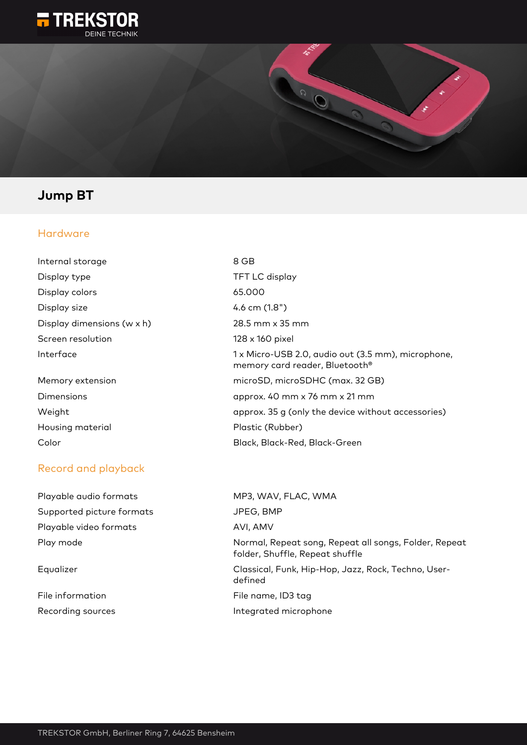



## **Jump BT**

### Hardware

| Internal storage           | 8 GB                |
|----------------------------|---------------------|
| Display type               | TFT I               |
| Display colors             | 65.00               |
| Display size               | 4.6 cı              |
| Display dimensions (w x h) | 28.5                |
| Screen resolution          | 128x                |
| Interface                  | $1 \times M$<br>mem |
| Memory extension           | micro               |
| Dimensions                 | appr                |

Housing material **Plastic (Rubber)** 

### Record and playback

File information Recording sources and a settlement of the lintegrated microphone

TFT LC display 65.000  $4.6$  cm  $(1.8")$ 28.5 mm x 35 mm 128 x 160 pixel 1 x Micro-USB 2.0, audio out (3.5 mm), microphone, memory card reader, Bluetooth® microSD, microSDHC (max. 32 GB) approx.  $40$  mm x 76 mm x 21 mm Weight **a** approx. 35 g (only the device without accessories) Color Black, Black-Red, Black-Green

| Playable audio formats    | MP3, WAV, FLAC, WMA                                                                      |
|---------------------------|------------------------------------------------------------------------------------------|
| Supported picture formats | JPEG, BMP                                                                                |
| Playable video formats    | AVI, AMV                                                                                 |
| Play mode                 | Normal, Repeat song, Repeat all songs, Folder, Repeat<br>folder, Shuffle, Repeat shuffle |
| Equalizer                 | Classical, Funk, Hip-Hop, Jazz, Rock, Techno, User-<br>defined                           |
| File information          | File name, ID3 tag                                                                       |
| De eeu die eneemen        | المتحدث والمستحدث والمتحدث والمتحدث والمتحد والمناسب                                     |